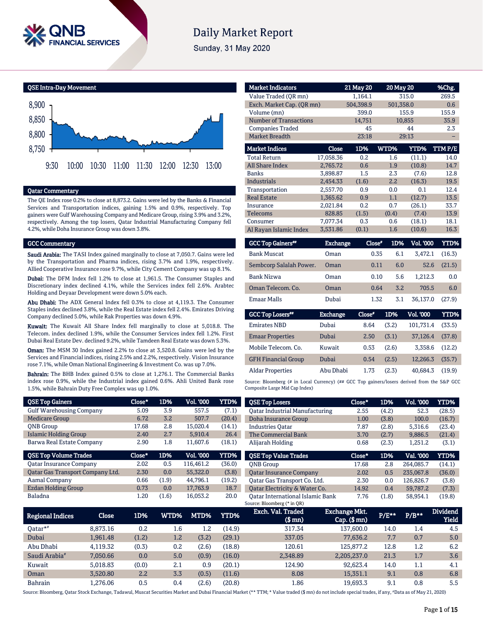

# **Daily Market Report**

Sunday, 31 May 2020

QSE Intra-Day Movement



#### Qatar Commentary

The QE Index rose 0.2% to close at 8,873.2. Gains were led by the Banks & Financial Services and Transportation indices, gaining 1.5% and 0.9%, respectively. Top gainers were Gulf Warehousing Company and Medicare Group, rising 3.9% and 3.2%, respectively. Among the top losers, Qatar Industrial Manufacturing Company fell 4.2%, while Doha Insurance Group was down 3.8%.

#### GCC Commentary

Saudi Arabia: The TASI Index gained marginally to close at 7,050.7. Gains were led by the Transportation and Pharma indices, rising 3.7% and 1.9%, respectively. Allied Cooperative Insurance rose 9.7%, while City Cement Company was up 8.1%.

Dubai: The DFM Index fell 1.2% to close at 1,961.5. The Consumer Staples and Discretionary index declined 4.1%, while the Services index fell 2.6%. Arabtec Holding and Deyaar Development were down 5.0% each.

Abu Dhabi: The ADX General Index fell 0.3% to close at 4,119.3. The Consumer Staples index declined 3.8%, while the Real Estate index fell 2.4%. Emirates Driving Company declined 5.0%, while Rak Properties was down 4.9%.

Kuwait: The Kuwait All Share Index fell marginally to close at 5,018.8. The Telecom. index declined 1.9%, while the Consumer Services index fell 1.2%. First Dubai Real Estate Dev. declined 9.2%, while Tamdeen Real Estate was down 5.3%.

Oman: The MSM 30 Index gained 2.2% to close at 3,520.8. Gains were led by the Services and Financial indices, rising 2.5% and 2.2%, respectively. Vision Insurance rose 7.1%, while Oman National Engineering & Investment Co. was up 7.0%.

Bahrain: The BHB Index gained 0.5% to close at 1,276.1. The Commercial Banks index rose 0.9%, while the Industrial index gained 0.6%. Ahli United Bank rose 1.5%, while Bahrain Duty Free Complex was up 1.0%.

| <b>QSE Top Gainers</b>           | Close* | 1D%   | Vol. '000 | YTD%   |
|----------------------------------|--------|-------|-----------|--------|
| <b>Gulf Warehousing Company</b>  | 5.09   | 3.9   | 557.5     | (7.1)  |
| <b>Medicare Group</b>            | 6.72   | 3.2   | 507.7     | (20.4) |
| <b>ONB</b> Group                 | 17.68  | 2.8   | 15.020.4  | (14.1) |
| <b>Islamic Holding Group</b>     | 2.40   | 2.7   | 5.910.4   | 26.4   |
| Barwa Real Estate Company        | 2.90   | 1.8   | 11.607.6  | (18.1) |
|                                  |        |       |           |        |
| <b>QSE Top Volume Trades</b>     | Close* | 1D%   | Vol. '000 | YTD%   |
| <b>Oatar Insurance Company</b>   | 2.02   | 0.5   | 116.461.2 | (36.0) |
| Qatar Gas Transport Company Ltd. | 2.30   | 0.0   | 55,322.0  | (3.8)  |
| Aamal Company                    | 0.66   | (1.9) | 44.796.1  | (19.2) |
| Ezdan Holding Group              | 0.73   | 0.0   | 17.763.9  | 18.7   |

| <b>Market Indicators</b>      |           | <b>21 May 20</b> |       | 20 May 20 | %Chg.  |  |
|-------------------------------|-----------|------------------|-------|-----------|--------|--|
| Value Traded (QR mn)          |           | 1,164.1          |       | 315.0     | 269.5  |  |
| Exch. Market Cap. (QR mn)     |           | 504,398.9        |       | 501,358.0 | 0.6    |  |
| Volume (mn)                   |           | 399.0            |       | 155.9     | 155.9  |  |
| <b>Number of Transactions</b> |           | 14,751           |       | 10,855    | 35.9   |  |
| <b>Companies Traded</b>       |           | 45               |       | 44        | 2.3    |  |
| Market Breadth                |           | 23:18            |       | 29:13     |        |  |
| <b>Market Indices</b>         | Close     | 1D%              | WTD%  | YTD%      | TTMP/E |  |
| <b>Total Return</b>           | 17,058.36 | 0.2              | 1.6   | (11.1)    | 14.0   |  |
| <b>All Share Index</b>        | 2,765.72  | 0.6              | 1.9   | (10.8)    | 14.7   |  |
| <b>Banks</b>                  | 3.898.87  | 1.5              | 2.3   | (7.6)     | 12.8   |  |
| <b>Industrials</b>            | 2.454.33  | (1.6)            | 2.2   | (16.3)    | 19.5   |  |
| Transportation                | 2,557.70  | 0.9              | 0.0   | 0.1       | 12.4   |  |
| <b>Real Estate</b>            | 1,365.62  | 0.9              | 1.1   | (12.7)    | 13.5   |  |
| Insurance                     | 2,021.84  | 0.2              | 0.7   | (26.1)    | 33.7   |  |
| Telecoms                      | 828.85    | (1.5)            | (0.4) | (7.4)     | 13.9   |  |
| Consumer                      | 7,077.34  | 0.3              | 0.6   | (18.1)    | 18.1   |  |
| Al Rayan Islamic Index        | 3,531.86  | (0.1)            | 1.6   | (10.6)    | 16.3   |  |

| <b>GCC Top Gainers**</b> | <b>Exchange</b> | Close* | 1D% | <b>Vol. '000</b> | YTD%   |
|--------------------------|-----------------|--------|-----|------------------|--------|
| <b>Bank Muscat</b>       | Oman            | 0.35   | 6.1 | 3.472.1          | (16.3) |
| Sembcorp Salalah Power.  | Oman            | 0.11   | 6.0 | 52.6             | (21.5) |
| <b>Bank Nizwa</b>        | Oman            | 0.10   | 5.6 | 1.212.3          | 0.0    |
| Oman Telecom. Co.        | Oman            | 0.64   | 3.2 | 705.5            | 6.0    |
| <b>Emaar Malls</b>       | Dubai           | 1.32   | 3.1 | 36.137.0         | (27.9) |

| <b>GCC Top Losers**</b>    | <b>Exchange</b> | Close" | 1D%   | Vol. '000 | YTD%   |
|----------------------------|-----------------|--------|-------|-----------|--------|
| <b>Emirates NBD</b>        | Dubai           | 8.64   | (3.2) | 101.731.4 | (33.5) |
| <b>Emaar Properties</b>    | Dubai           | 2.50   | (3.1) | 37.126.4  | (37.8) |
| Mobile Telecom. Co.        | Kuwait          | 0.53   | (2.6) | 3.358.6   | (12.2) |
| <b>GFH Financial Group</b> | Dubai           | 0.54   | (2.5) | 12.266.3  | (35.7) |
| <b>Aldar Properties</b>    | Abu Dhabi       | 1.73   | (2.3) | 40.684.3  | (19.9) |

Source: Bloomberg (# in Local Currency) (## GCC Top gainers/losers derived from the S&P GCC Composite Large Mid Cap Index)

| <b>QSE Top Losers</b>                 | Close* | 1D%   | <b>Vol. '000</b> | <b>YTD%</b> |
|---------------------------------------|--------|-------|------------------|-------------|
| <b>Oatar Industrial Manufacturing</b> | 2.55   | (4.2) | 52.3             | (28.5)      |
| Doha Insurance Group                  | 1.00   | (3.8) | 100.0            | (16.7)      |
| <b>Industries Oatar</b>               | 7.87   | (2.8) | 5,316.6          | (23.4)      |
| The Commercial Bank                   | 3.70   | (2.7) | 9.886.5          | (21.4)      |
| Alijarah Holding                      | 0.68   | (2.3) | 1.251.2          | (3.1)       |
|                                       |        |       |                  |             |
|                                       |        |       |                  |             |
| <b>OSE Top Value Trades</b>           | Close* | 1D%   | Val. '000        | YTD%        |
| <b>ONB</b> Group                      | 17.68  | 2.8   | 264.085.7        | (14.1)      |
| <b>Qatar Insurance Company</b>        | 2.02   | 0.5   | 235,067.8        | (36.0)      |
| Oatar Gas Transport Co. Ltd.          | 2.30   | 0.0   | 126.826.7        | (3.8)       |
| Qatar Electricity & Water Co.         | 14.92  | 0.4   | 59,787.2         | (7.3)       |

| Regional Indices          | Close    | 1D%   | WTD% | MTD%  | YTD%   | Exch. Val. Traded<br>$$$ mn $)$ | <b>Exchange Mkt.</b><br>$Cap.$ (\$ mn) | $P/E***$ | $P/B***$ | <b>Dividend</b><br>Yield |
|---------------------------|----------|-------|------|-------|--------|---------------------------------|----------------------------------------|----------|----------|--------------------------|
| Oatar* <sup>*</sup>       | 8.873.16 | 0.2   | 1.6  | 1.2   | (14.9) | 317.34                          | 137.600.0                              | 14.0     | 1.4      | 4.5                      |
| Dubai                     | 1.961.48 | (1.2) | 1.2  | (3.2) | (29.1) | 337.05                          | 77.636.2                               | 7.7      | 0.7      | 5.0                      |
| Abu Dhabi                 | 4.119.32 | (0.3) | 0.2  | (2.6) | (18.8) | 120.61                          | 125.877.2                              | 12.8     | 1.2      | 6.2                      |
| Saudi Arabia <sup>#</sup> | 7,050.66 | 0.0   | 5.0  | (0.9) | (16.0) | 2,348.89                        | 2,205,237.0                            | 21.3     | 1.7      | 3.6                      |
| Kuwait                    | 5.018.83 | (0.0) | 2.1  | 0.9   | (20.1) | 124.90                          | 92.623.4                               | 14.0     | 1.1      | 4.1                      |
| Oman                      | 3.520.80 | 2.2   | 3.3  | (0.5) | (11.6) | 8.08                            | 15.351.1                               | 9.1      | 0.8      | 6.8                      |
| <b>Bahrain</b>            | L.276.06 | 0.5   | 0.4  | (2.6) | (20.8) | 1.86                            | 19.693.3                               | 9.1      | 0.8      | 5.5                      |

Source: Bloomberg, Qatar Stock Exchange, Tadawul, Muscat Securities Market and Dubai Financial Market (\*\* TTM; \* Value traded (\$ mn) do not include special trades, if any, #Data as of May 21, 2020)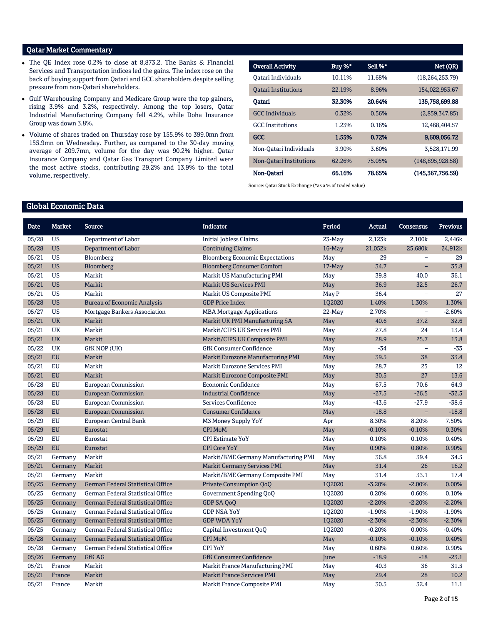## Qatar Market Commentary

- The QE Index rose 0.2% to close at 8,873.2. The Banks & Financial Services and Transportation indices led the gains. The index rose on the back of buying support from Qatari and GCC shareholders despite selling pressure from non-Qatari shareholders.
- Gulf Warehousing Company and Medicare Group were the top gainers, rising 3.9% and 3.2%, respectively. Among the top losers, Qatar Industrial Manufacturing Company fell 4.2%, while Doha Insurance Group was down 3.8%.
- Volume of shares traded on Thursday rose by 155.9% to 399.0mn from 155.9mn on Wednesday. Further, as compared to the 30-day moving average of 209.7mn, volume for the day was 90.2% higher. Qatar Insurance Company and Qatar Gas Transport Company Limited were the most active stocks, contributing 29.2% and 13.9% to the total volume, respectively.

| <b>Overall Activity</b>    | Buy %* | Sell %* | Net (QR)           |
|----------------------------|--------|---------|--------------------|
| Oatari Individuals         | 10.11% | 11.68%  | (18, 264, 253, 79) |
| <b>Oatari Institutions</b> | 22.19% | 8.96%   | 154,022,953.67     |
| Oatari                     | 32.30% | 20.64%  | 135,758,699.88     |
| <b>GCC</b> Individuals     | 0.32%  | 0.56%   | (2,859,347.85)     |
| <b>GCC</b> Institutions    | 1.23%  | 0.16%   | 12,468,404.57      |
| <b>GCC</b>                 | 1.55%  | 0.72%   | 9,609,056.72       |
| Non-Oatari Individuals     | 3.90%  | 3.60%   | 3.528.171.99       |
| Non-Oatari Institutions    | 62.26% | 75.05%  | (148, 895, 928.58) |
| Non-Oatari                 | 66.16% | 78.65%  | (145, 367, 756.59) |

Source: Qatar Stock Exchange (\*as a % of traded value)

# Global Economic Data

| <b>Date</b> | <b>Market</b> | <b>Source</b>                            | <b>Indicator</b>                       | Period    | <b>Actual</b> | <b>Consensus</b>         | <b>Previous</b> |
|-------------|---------------|------------------------------------------|----------------------------------------|-----------|---------------|--------------------------|-----------------|
| 05/28       | <b>US</b>     | Department of Labor                      | <b>Initial Jobless Claims</b>          | 23-May    | 2,123k        | 2,100k                   | 2,446k          |
| 05/28       | <b>US</b>     | Department of Labor                      | <b>Continuing Claims</b>               | $16$ -May | 21,052k       | 25,680k                  | 24,912k         |
| 05/21       | <b>US</b>     | Bloomberg                                | <b>Bloomberg Economic Expectations</b> | May       | 29            | $\equiv$                 | 29              |
| 05/21       | <b>US</b>     | Bloomberg                                | <b>Bloomberg Consumer Comfort</b>      | 17-May    | 34.7          | $\equiv$                 | 35.8            |
| 05/21       | <b>US</b>     | Markit                                   | Markit US Manufacturing PMI            | May       | 39.8          | 40.0                     | 36.1            |
| 05/21       | <b>US</b>     | Markit                                   | <b>Markit US Services PMI</b>          | May       | 36.9          | 32.5                     | 26.7            |
| 05/21       | <b>US</b>     | Markit                                   | Markit US Composite PMI                | May P     | 36.4          | $\equiv$                 | 27              |
| 05/28       | <b>US</b>     | <b>Bureau of Economic Analysis</b>       | <b>GDP Price Index</b>                 | 102020    | 1.40%         | 1.30%                    | 1.30%           |
| 05/27       | <b>US</b>     | Mortgage Bankers Association             | <b>MBA Mortgage Applications</b>       | $22-Mav$  | 2.70%         | $\overline{\phantom{0}}$ | $-2.60%$        |
| 05/21       | <b>UK</b>     | Markit                                   | Markit UK PMI Manufacturing SA         | May       | 40.6          | 37.2                     | 32.6            |
| 05/21       | <b>UK</b>     | Markit                                   | Markit/CIPS UK Services PMI            | May       | 27.8          | 24                       | 13.4            |
| 05/21       | <b>UK</b>     | Markit                                   | Markit/CIPS UK Composite PMI           | May       | 28.9          | 25.7                     | 13.8            |
| 05/22       | <b>UK</b>     | GfK NOP (UK)                             | <b>GfK Consumer Confidence</b>         | May       | $-34$         | $\overline{\phantom{0}}$ | $-33$           |
| 05/21       | <b>EU</b>     | Markit                                   | Markit Eurozone Manufacturing PMI      | May       | 39.5          | 38                       | 33.4            |
| 05/21       | <b>EU</b>     | Markit                                   | Markit Eurozone Services PMI           | May       | 28.7          | 25                       | 12              |
| 05/21       | <b>EU</b>     | Markit                                   | Markit Eurozone Composite PMI          | May       | 30.5          | 27                       | 13.6            |
| 05/28       | EU            | <b>European Commission</b>               | Economic Confidence                    | May       | 67.5          | 70.6                     | 64.9            |
| 05/28       | <b>EU</b>     | <b>European Commission</b>               | <b>Industrial Confidence</b>           | May       | $-27.5$       | $-26.5$                  | $-32.5$         |
| 05/28       | <b>EU</b>     | <b>European Commission</b>               | Services Confidence                    | May       | $-43.6$       | $-27.9$                  | $-38.6$         |
| 05/28       | <b>EU</b>     | <b>European Commission</b>               | <b>Consumer Confidence</b>             | May       | $-18.8$       |                          | $-18.8$         |
| 05/29       | <b>EU</b>     | European Central Bank                    | M3 Money Supply YoY                    | Apr       | 8.30%         | 8.20%                    | 7.50%           |
| 05/29       | <b>EU</b>     | Eurostat                                 | <b>CPI MoM</b>                         | May       | $-0.10%$      | $-0.10%$                 | 0.30%           |
| 05/29       | EU            | Eurostat                                 | <b>CPI Estimate YoY</b>                | May       | 0.10%         | 0.10%                    | 0.40%           |
| 05/29       | <b>EU</b>     | Eurostat                                 | <b>CPI Core YoY</b>                    | May       | 0.90%         | 0.80%                    | 0.90%           |
| 05/21       | Germany       | Markit                                   | Markit/BME Germany Manufacturing PMI   | May       | 36.8          | 39.4                     | 34.5            |
| 05/21       | Germany       | Markit                                   | <b>Markit Germany Services PMI</b>     | May       | 31.4          | 26                       | 16.2            |
| 05/21       | Germany       | Markit                                   | Markit/BME Germany Composite PMI       | May       | 31.4          | 33.1                     | 17.4            |
| 05/25       | Germany       | German Federal Statistical Office        | <b>Private Consumption QoQ</b>         | 1Q2020    | $-3.20%$      | $-2.00%$                 | 0.00%           |
| 05/25       | Germany       | German Federal Statistical Office        | Government Spending QoQ                | 102020    | 0.20%         | 0.60%                    | 0.10%           |
| 05/25       | Germany       | <b>German Federal Statistical Office</b> | GDP SA QoQ                             | 102020    | $-2.20%$      | $-2.20%$                 | $-2.20%$        |
| 05/25       | Germany       | German Federal Statistical Office        | <b>GDP NSA YoY</b>                     | 1Q2020    | $-1.90%$      | $-1.90%$                 | $-1.90%$        |
| 05/25       | Germany       | <b>German Federal Statistical Office</b> | <b>GDP WDA YoY</b>                     | 102020    | $-2.30%$      | $-2.30%$                 | $-2.30%$        |
| 05/25       | Germany       | German Federal Statistical Office        | Capital Investment QoQ                 | 1Q2020    | $-0.20%$      | 0.00%                    | $-0.40%$        |
| 05/28       | Germany       | German Federal Statistical Office        | <b>CPI MoM</b>                         | May       | $-0.10%$      | $-0.10%$                 | 0.40%           |
| 05/28       | Germany       | German Federal Statistical Office        | <b>CPI YoY</b>                         | May       | 0.60%         | 0.60%                    | 0.90%           |
| 05/26       | Germany       | <b>GfK AG</b>                            | <b>GfK Consumer Confidence</b>         | June      | $-18.9$       | $-18$                    | $-23.1$         |
| 05/21       | France        | Markit                                   | Markit France Manufacturing PMI        | May       | 40.3          | 36                       | 31.5            |
| 05/21       | France        | Markit                                   | <b>Markit France Services PMI</b>      | May       | 29.4          | 28                       | 10.2            |
| 05/21       | France        | Markit                                   | Markit France Composite PMI            | May       | 30.5          | 32.4                     | 11.1            |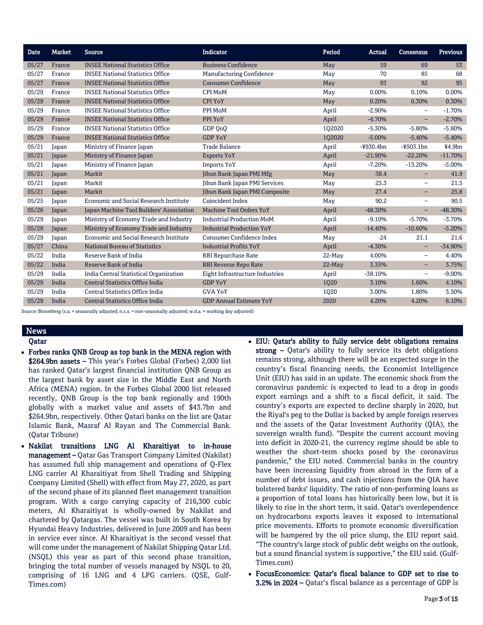| Date  | Market | <b>Source</b>                            | <b>Indicator</b>                     | Period   | Actual      | <b>Consensus</b>         | <b>Previous</b> |
|-------|--------|------------------------------------------|--------------------------------------|----------|-------------|--------------------------|-----------------|
| 05/27 | France | <b>INSEE National Statistics Office</b>  | <b>Business Confidence</b>           | May      | 59          | 69                       | 53              |
| 05/27 | France | <b>INSEE National Statistics Office</b>  | <b>Manufacturing Confidence</b>      | May      | 70          | 85                       | 68              |
| 05/27 | France | <b>INSEE National Statistics Office</b>  | <b>Consumer Confidence</b>           | May      | 93          | 92                       | 95              |
| 05/29 | France | <b>INSEE National Statistics Office</b>  | <b>CPI MoM</b>                       | May      | 0.00%       | 0.10%                    | 0.00%           |
| 05/29 | France | <b>INSEE National Statistics Office</b>  | <b>CPI YoY</b>                       | May      | 0.20%       | 0.30%                    | 0.30%           |
| 05/29 | France | <b>INSEE National Statistics Office</b>  | PPI MoM                              | April    | $-2.90%$    | —                        | $-1.70%$        |
| 05/29 | France | <b>INSEE National Statistics Office</b>  | <b>PPI YoY</b>                       | April    | $-4.70%$    | $\equiv$                 | $-2.70%$        |
| 05/29 | France | <b>INSEE National Statistics Office</b>  | GDP OoO                              | 102020   | $-5.30%$    | $-5.80%$                 | $-5.80%$        |
| 05/29 | France | <b>INSEE National Statistics Office</b>  | <b>GDP YoY</b>                       | 1Q2020   | $-5.00%$    | $-5.40%$                 | $-5.40%$        |
| 05/21 | Japan  | Ministry of Finance Japan                | <b>Trade Balance</b>                 | April    | $-4930.4bn$ | $-4503.1bn$              | ¥4.9bn          |
| 05/21 | Japan  | Ministry of Finance Japan                | <b>Exports YoY</b>                   | April    | $-21.90%$   | $-22.20%$                | $-11.70%$       |
| 05/21 | Japan  | Ministry of Finance Japan                | <b>Imports YoY</b>                   | April    | $-7.20%$    | $-13.20%$                | $-5.00%$        |
| 05/21 | Japan  | Markit                                   | Jibun Bank Japan PMI Mfg             | May      | 38.4        | $\overline{\phantom{0}}$ | 41.9            |
| 05/21 | Japan  | Markit                                   | <b>Jibun Bank Japan PMI Services</b> | May      | 25.3        | $\overline{\phantom{m}}$ | 21.5            |
| 05/21 | Japan  | Markit                                   | Jibun Bank Japan PMI Composite       | May      | 27.4        | -                        | 25.8            |
| 05/25 | Japan  | Economic and Social Research Institute   | Coincident Index                     | May      | 90.2        | —                        | 90.5            |
| 05/26 | Japan  | Japan Machine Tool Builders' Association | <b>Machine Tool Orders YoY</b>       | April    | $-48.30%$   | $\qquad \qquad -$        | $-48.30%$       |
| 05/29 | Japan  | Ministry of Economy Trade and Industry   | <b>Industrial Production MoM</b>     | April    | $-9.10%$    | $-5.70%$                 | $-3.70%$        |
| 05/29 | Japan  | Ministry of Economy Trade and Industry   | <b>Industrial Production YoY</b>     | April    | $-14.40%$   | $-10.60%$                | $-5.20%$        |
| 05/29 | Japan  | Economic and Social Research Institute   | Consumer Confidence Index            | May      | 24          | 21.1                     | 21.6            |
| 05/27 | China  | <b>National Bureau of Statistics</b>     | <b>Industrial Profits YoY</b>        | April    | $-4.30%$    | $\overline{\phantom{0}}$ | $-34.90%$       |
| 05/22 | India  | Reserve Bank of India                    | <b>RBI Repurchase Rate</b>           | $22-Mav$ | 4.00%       | $\overline{\phantom{0}}$ | 4.40%           |
| 05/22 | India  | <b>Reserve Bank of India</b>             | <b>RBI Reverse Repo Rate</b>         | $22-Mav$ | 3.35%       | Ξ.                       | 3.75%           |
| 05/29 | India  | India Central Statistical Organization   | Eight Infrastructure Industries      | April    | $-38.10%$   | $\overline{\phantom{0}}$ | $-9.00%$        |
| 05/29 | India  | <b>Central Statistics Office India</b>   | <b>GDP YoY</b>                       | 1020     | 3.10%       | 1.60%                    | 4.10%           |
| 05/29 | India  | Central Statistics Office India          | <b>GVA YoY</b>                       | 1Q20     | 3.00%       | 1.80%                    | 3.50%           |
| 05/29 | India  | Central Statistics Office India          | <b>GDP Annual Estimate YoY</b>       | 2020     | 4.20%       | 4.20%                    | 6.10%           |

Source: Bloomberg (s.a. = seasonally adjusted; n.s.a. = non-seasonally adjusted; w.d.a. = working day adjusted)

#### News

#### Qatar

- Forbes ranks QNB Group as top bank in the MENA region with \$264.9bn assets – This year's Forbes Global (Forbes) 2,000 list has ranked Qatar's largest financial institution QNB Group as the largest bank by asset size in the Middle East and North Africa (MENA) region. In the Forbes Global 2000 list released recently, QNB Group is the top bank regionally and 190th globally with a market value and assets of \$43.7bn and \$264.9bn, respectively. Other Qatari banks on the list are Qatar Islamic Bank, Masraf Al Rayan and The Commercial Bank. (Qatar Tribune)
- Nakilat transitions LNG Al Kharaitiyat to in-house management – Qatar Gas Transport Company Limited (Nakilat) has assumed full ship management and operations of Q-Flex LNG carrier Al Kharaitiyat from Shell Trading and Shipping Company Limited (Shell) with effect from May 27, 2020, as part of the second phase of its planned fleet management transition program. With a cargo carrying capacity of 216,300 cubic meters, Al Kharaitiyat is wholly-owned by Nakilat and chartered by Qatargas. The vessel was built in South Korea by Hyundai Heavy Industries, delivered in June 2009 and has been in service ever since. Al Kharaitiyat is the second vessel that will come under the management of Nakilat Shipping Qatar Ltd. (NSQL) this year as part of this second phase transition, bringing the total number of vessels managed by NSQL to 20, comprising of 16 LNG and 4 LPG carriers. (QSE, Gulf-Times.com)
- EIU: Qatar's ability to fully service debt obligations remains strong – Oatar's ability to fully service its debt obligations remains strong, although there will be an expected surge in the country's fiscal financing needs, the Economist Intelligence Unit (EIU) has said in an update. The economic shock from the coronavirus pandemic is expected to lead to a drop in goods export earnings and a shift to a fiscal deficit, it said. The country's exports are expected to decline sharply in 2020, but the Riyal's peg to the Dollar is backed by ample foreign reserves and the assets of the Qatar Investment Authority (QIA), the sovereign wealth fund). "Despite the current account moving into deficit in 2020-21, the currency regime should be able to weather the short-term shocks posed by the coronavirus pandemic," the EIU noted. Commercial banks in the country have been increasing liquidity from abroad in the form of a number of debt issues, and cash injections from the QIA have bolstered banks' liquidity. The ratio of non-performing loans as a proportion of total loans has historically been low, but it is likely to rise in the short term, it said. Qatar's overdependence on hydrocarbons exports leaves it exposed to international price movements. Efforts to promote economic diversification will be hampered by the oil price slump, the EIU report said. "The country's large stock of public debt weighs on the outlook, but a sound financial system is supportive," the EIU said. (Gulf-Times.com)
- FocusEconomics: Qatar's fiscal balance to GDP set to rise to 3.2% in 2024 – Qatar's fiscal balance as a percentage of GDP is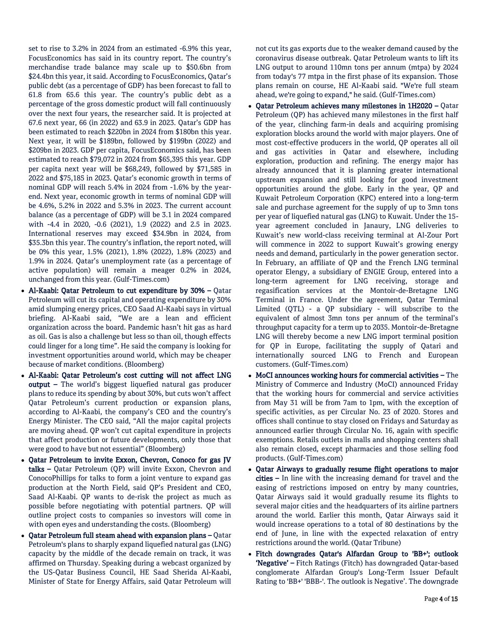set to rise to 3.2% in 2024 from an estimated -6.9% this year, FocusEconomics has said in its country report. The country's merchandise trade balance may scale up to \$50.6bn from \$24.4bn this year, it said. According to FocusEconomics, Qatar's public debt (as a percentage of GDP) has been forecast to fall to 61.8 from 65.6 this year. The country's public debt as a percentage of the gross domestic product will fall continuously over the next four years, the researcher said. It is projected at 67.6 next year, 66 (in 2022) and 63.9 in 2023. Qatar's GDP has been estimated to reach \$220bn in 2024 from \$180bn this year. Next year, it will be \$189bn, followed by \$199bn (2022) and \$209bn in 2023. GDP per capita, FocusEconomics said, has been estimated to reach \$79,072 in 2024 from \$65,395 this year. GDP per capita next year will be \$68,249, followed by \$71,585 in 2022 and \$75,185 in 2023. Qatar's economic growth in terms of nominal GDP will reach 5.4% in 2024 from -1.6% by the yearend. Next year, economic growth in terms of nominal GDP will be 4.6%, 5.2% in 2022 and 5.3% in 2023. The current account balance (as a percentage of GDP) will be 3.1 in 2024 compared with -4.4 in 2020, -0.6 (2021), 1.9 (2022) and 2.5 in 2023. International reserves may exceed \$34.9bn in 2024, from \$35.3bn this year. The country's inflation, the report noted, will be 0% this year, 1.5% (2021), 1.8% (2022), 1.8% (2023) and 1.9% in 2024. Qatar's unemployment rate (as a percentage of active population) will remain a meager 0.2% in 2024, unchanged from this year. (Gulf-Times.com)

- Al-Kaabi: Qatar Petroleum to cut expenditure by 30% Qatar Petroleum will cut its capital and operating expenditure by 30% amid slumping energy prices, CEO Saad Al-Kaabi says in virtual briefing. Al-Kaabi said, "We are a lean and efficient organization across the board. Pandemic hasn't hit gas as hard as oil. Gas is also a challenge but less so than oil, though effects could linger for a long time". He said the company is looking for investment opportunities around world, which may be cheaper because of market conditions. (Bloomberg)
- Al-Kaabi: Qatar Petroleum's cost cutting will not affect LNG output – The world's biggest liquefied natural gas producer plans to reduce its spending by about 30%, but cuts won't affect Qatar Petroleum's current production or expansion plans, according to Al-Kaabi, the company's CEO and the country's Energy Minister. The CEO said, "All the major capital projects are moving ahead. QP won't cut capital expenditure in projects that affect production or future developments, only those that were good to have but not essential" (Bloomberg)
- Qatar Petroleum to invite Exxon, Chevron, Conoco for gas JV talks – Qatar Petroleum (QP) will invite Exxon, Chevron and ConocoPhillips for talks to form a joint venture to expand gas production at the North Field, said QP's President and CEO, Saad Al-Kaabi. QP wants to de-risk the project as much as possible before negotiating with potential partners. QP will outline project costs to companies so investors will come in with open eyes and understanding the costs. (Bloomberg)
- Oatar Petroleum full steam ahead with expansion plans Oatar Petroleum's plans to sharply expand liquefied natural gas (LNG) capacity by the middle of the decade remain on track, it was affirmed on Thursday. Speaking during a webcast organized by the US-Qatar Business Council, HE Saad Sherida Al-Kaabi, Minister of State for Energy Affairs, said Qatar Petroleum will

not cut its gas exports due to the weaker demand caused by the coronavirus disease outbreak. Qatar Petroleum wants to lift its LNG output to around 110mn tons per annum (mtpa) by 2024 from today's 77 mtpa in the first phase of its expansion. Those plans remain on course, HE Al-Kaabi said. "We're full steam ahead, we're going to expand," he said. (Gulf-Times.com)

- Qatar Petroleum achieves many milestones in 1H2020 Qatar Petroleum (QP) has achieved many milestones in the first half of the year, clinching farm-in deals and acquiring promising exploration blocks around the world with major players. One of most cost-effective producers in the world, QP operates all oil and gas activities in Qatar and elsewhere, including exploration, production and refining. The energy major has already announced that it is planning greater international upstream expansion and still looking for good investment opportunities around the globe. Early in the year, QP and Kuwait Petroleum Corporation (KPC) entered into a long-term sale and purchase agreement for the supply of up to 3mn tons per year of liquefied natural gas (LNG) to Kuwait. Under the 15 year agreement concluded in Janaury, LNG deliveries to Kuwait's new world-class receiving terminal at Al-Zour Port will commence in 2022 to support Kuwait's growing energy needs and demand, particularly in the power generation sector. In February, an affiliate of QP and the French LNG terminal operator Elengy, a subsidiary of ENGIE Group, entered into a long-term agreement for LNG receiving, storage and regasification services at the Montoir-de-Bretagne LNG Terminal in France. Under the agreement, Qatar Terminal Limited (QTL) - a QP subsidiary - will subscribe to the equivalent of almost 3mn tons per annum of the terminal's throughput capacity for a term up to 2035. Montoir-de-Bretagne LNG will thereby become a new LNG import terminal position for QP in Europe, facilitating the supply of Qatari and internationally sourced LNG to French and European customers. (Gulf-Times.com)
- MoCI announces working hours for commercial activities The Ministry of Commerce and Industry (MoCI) announced Friday that the working hours for commercial and service activities from May 31 will be from 7am to 1pm, with the exception of specific activities, as per Circular No. 23 of 2020. Stores and offices shall continue to stay closed on Fridays and Saturday as announced earlier through Circular No. 16, again with specific exemptions. Retails outlets in malls and shopping centers shall also remain closed, except pharmacies and those selling food products. (Gulf-Times.com)
- Qatar Airways to gradually resume flight operations to major cities – In line with the increasing demand for travel and the easing of restrictions imposed on entry by many countries, Qatar Airways said it would gradually resume its flights to several major cities and the headquarters of its airline partners around the world. Earlier this month, Qatar Airways said it would increase operations to a total of 80 destinations by the end of June, in line with the expected relaxation of entry restrictions around the world. (Qatar Tribune)
- Fitch downgrades Qatar's Alfardan Group to 'BB+'; outlook 'Negative' – Fitch Ratings (Fitch) has downgraded Qatar-based conglomerate Alfardan Group's Long-Term Issuer Default Rating to 'BB+' 'BBB-'. The outlook is Negative'. The downgrade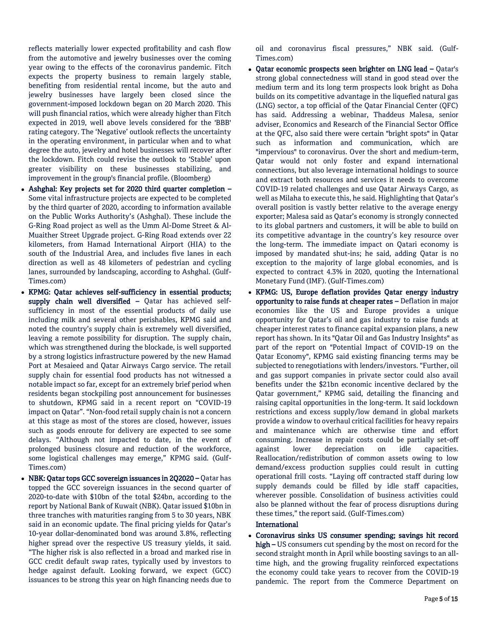reflects materially lower expected profitability and cash flow from the automotive and jewelry businesses over the coming year owing to the effects of the coronavirus pandemic. Fitch expects the property business to remain largely stable, benefiting from residential rental income, but the auto and jewelry businesses have largely been closed since the government-imposed lockdown began on 20 March 2020. This will push financial ratios, which were already higher than Fitch expected in 2019, well above levels considered for the 'BBB' rating category. The 'Negative' outlook reflects the uncertainty in the operating environment, in particular when and to what degree the auto, jewelry and hotel businesses will recover after the lockdown. Fitch could revise the outlook to 'Stable' upon greater visibility on these businesses stabilizing, and improvement in the group's financial profile. (Bloomberg)

- Ashghal: Key projects set for 2020 third quarter completion Some vital infrastructure projects are expected to be completed by the third quarter of 2020, according to information available on the Public Works Authority's (Ashghal). These include the G-Ring Road project as well as the Umm Al-Dome Street & Al-Muaither Street Upgrade project. G-Ring Road extends over 22 kilometers, from Hamad International Airport (HIA) to the south of the Industrial Area, and includes five lanes in each direction as well as 48 kilometers of pedestrian and cycling lanes, surrounded by landscaping, according to Ashghal. (Gulf-Times.com)
- KPMG: Qatar achieves self-sufficiency in essential products; supply chain well diversified - Qatar has achieved selfsufficiency in most of the essential products of daily use including milk and several other perishables, KPMG said and noted the country's supply chain is extremely well diversified, leaving a remote possibility for disruption. The supply chain, which was strengthened during the blockade, is well supported by a strong logistics infrastructure powered by the new Hamad Port at Mesaieed and Qatar Airways Cargo service. The retail supply chain for essential food products has not witnessed a notable impact so far, except for an extremely brief period when residents began stockpiling post announcement for businesses to shutdown, KPMG said in a recent report on "COVID-19 impact on Qatar". "Non-food retail supply chain is not a concern at this stage as most of the stores are closed, however, issues such as goods enroute for delivery are expected to see some delays. "Although not impacted to date, in the event of prolonged business closure and reduction of the workforce, some logistical challenges may emerge," KPMG said. (Gulf-Times.com)
- NBK: Qatar tops GCC sovereign issuances in 2Q2020 Qatar has topped the GCC sovereign issuances in the second quarter of 2020-to-date with \$10bn of the total \$24bn, according to the report by National Bank of Kuwait (NBK). Qatar issued \$10bn in three tranches with maturities ranging from 5 to 30 years, NBK said in an economic update. The final pricing yields for Qatar's 10-year dollar-denominated bond was around 3.8%, reflecting higher spread over the respective US treasury yields, it said. "The higher risk is also reflected in a broad and marked rise in GCC credit default swap rates, typically used by investors to hedge against default. Looking forward, we expect (GCC) issuances to be strong this year on high financing needs due to

oil and coronavirus fiscal pressures," NBK said. (Gulf-Times.com)

- Qatar economic prospects seen brighter on LNG lead Qatar's strong global connectedness will stand in good stead over the medium term and its long term prospects look bright as Doha builds on its competitive advantage in the liquefied natural gas (LNG) sector, a top official of the Qatar Financial Center (QFC) has said. Addressing a webinar, Thaddeus Malesa, senior adviser, Economics and Research of the Financial Sector Office at the QFC, also said there were certain "bright spots" in Qatar such as information and communication, which are "impervious" to coronavirus. Over the short and medium-term, Qatar would not only foster and expand international connections, but also leverage international holdings to source and extract both resources and services it needs to overcome COVID-19 related challenges and use Qatar Airways Cargo, as well as Milaha to execute this, he said. Highlighting that Qatar's overall position is vastly better relative to the average energy exporter; Malesa said as Qatar's economy is strongly connected to its global partners and customers, it will be able to build on its competitive advantage in the country's key resource over the long-term. The immediate impact on Qatari economy is imposed by mandated shut-ins; he said, adding Qatar is no exception to the majority of large global economies, and is expected to contract 4.3% in 2020, quoting the International Monetary Fund (IMF). (Gulf-Times.com)
- KPMG: US, Europe deflation provides Qatar energy industry opportunity to raise funds at cheaper rates – Deflation in major economies like the US and Europe provides a unique opportunity for Qatar's oil and gas industry to raise funds at cheaper interest rates to finance capital expansion plans, a new report has shown. In its "Qatar Oil and Gas Industry Insights" as part of the report on "Potential Impact of COVID-19 on the Qatar Economy", KPMG said existing financing terms may be subjected to renegotiations with lenders/investors. "Further, oil and gas support companies in private sector could also avail benefits under the \$21bn economic incentive declared by the Qatar government," KPMG said, detailing the financing and raising capital opportunities in the long-term. It said lockdown restrictions and excess supply/low demand in global markets provide a window to overhaul critical facilities for heavy repairs and maintenance which are otherwise time and effort consuming. Increase in repair costs could be partially set-off against lower depreciation on idle capacities. Reallocation/redistribution of common assets owing to low demand/excess production supplies could result in cutting operational frill costs. "Laying off contracted staff during low supply demands could be filled by idle staff capacities, wherever possible. Consolidation of business activities could also be planned without the fear of process disruptions during these times," the report said. (Gulf-Times.com)

### International

 Coronavirus sinks US consumer spending; savings hit record high - US consumers cut spending by the most on record for the second straight month in April while boosting savings to an alltime high, and the growing frugality reinforced expectations the economy could take years to recover from the COVID-19 pandemic. The report from the Commerce Department on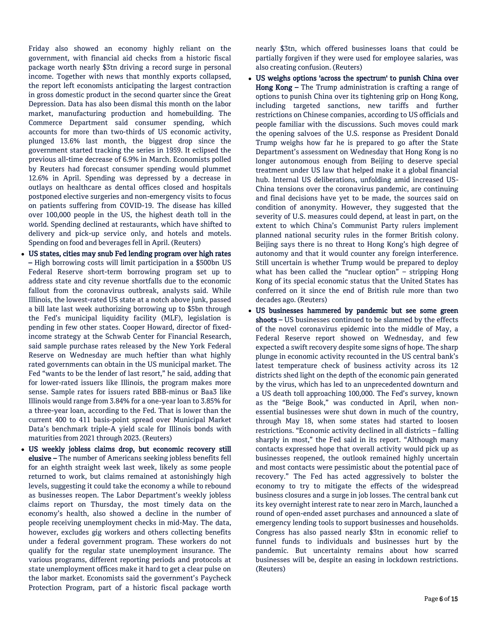Friday also showed an economy highly reliant on the government, with financial aid checks from a historic fiscal package worth nearly \$3tn driving a record surge in personal income. Together with news that monthly exports collapsed, the report left economists anticipating the largest contraction in gross domestic product in the second quarter since the Great Depression. Data has also been dismal this month on the labor market, manufacturing production and homebuilding. The Commerce Department said consumer spending, which accounts for more than two-thirds of US economic activity, plunged 13.6% last month, the biggest drop since the government started tracking the series in 1959. It eclipsed the previous all-time decrease of 6.9% in March. Economists polled by Reuters had forecast consumer spending would plummet 12.6% in April. Spending was depressed by a decrease in outlays on healthcare as dental offices closed and hospitals postponed elective surgeries and non-emergency visits to focus on patients suffering from COVID-19. The disease has killed over 100,000 people in the US, the highest death toll in the world. Spending declined at restaurants, which have shifted to delivery and pick-up service only, and hotels and motels. Spending on food and beverages fell in April. (Reuters)

- US states, cities may snub Fed lending program over high rates – High borrowing costs will limit participation in a \$500bn US Federal Reserve short-term borrowing program set up to address state and city revenue shortfalls due to the economic fallout from the coronavirus outbreak, analysts said. While Illinois, the lowest-rated US state at a notch above junk, passed a bill late last week authorizing borrowing up to \$5bn through the Fed's municipal liquidity facility (MLF), legislation is pending in few other states. Cooper Howard, director of fixedincome strategy at the Schwab Center for Financial Research, said sample purchase rates released by the New York Federal Reserve on Wednesday are much heftier than what highly rated governments can obtain in the US municipal market. The Fed "wants to be the lender of last resort," he said, adding that for lower-rated issuers like Illinois, the program makes more sense. Sample rates for issuers rated BBB-minus or Baa3 like Illinois would range from 3.84% for a one-year loan to 3.85% for a three-year loan, according to the Fed. That is lower than the current 400 to 411 basis-point spread over Municipal Market Data's benchmark triple-A yield scale for Illinois bonds with maturities from 2021 through 2023. (Reuters)
- US weekly jobless claims drop, but economic recovery still elusive – The number of Americans seeking jobless benefits fell for an eighth straight week last week, likely as some people returned to work, but claims remained at astonishingly high levels, suggesting it could take the economy a while to rebound as businesses reopen. The Labor Department's weekly jobless claims report on Thursday, the most timely data on the economy's health, also showed a decline in the number of people receiving unemployment checks in mid-May. The data, however, excludes gig workers and others collecting benefits under a federal government program. These workers do not qualify for the regular state unemployment insurance. The various programs, different reporting periods and protocols at state unemployment offices make it hard to get a clear pulse on the labor market. Economists said the government's Paycheck Protection Program, part of a historic fiscal package worth

nearly \$3tn, which offered businesses loans that could be partially forgiven if they were used for employee salaries, was also creating confusion. (Reuters)

- US weighs options 'across the spectrum' to punish China over Hong Kong - The Trump administration is crafting a range of options to punish China over its tightening grip on Hong Kong, including targeted sanctions, new tariffs and further restrictions on Chinese companies, according to US officials and people familiar with the discussions. Such moves could mark the opening salvoes of the U.S. response as President Donald Trump weighs how far he is prepared to go after the State Department's assessment on Wednesday that Hong Kong is no longer autonomous enough from Beijing to deserve special treatment under US law that helped make it a global financial hub. Internal US deliberations, unfolding amid increased US-China tensions over the coronavirus pandemic, are continuing and final decisions have yet to be made, the sources said on condition of anonymity. However, they suggested that the severity of U.S. measures could depend, at least in part, on the extent to which China's Communist Party rulers implement planned national security rules in the former British colony. Beijing says there is no threat to Hong Kong's high degree of autonomy and that it would counter any foreign interference. Still uncertain is whether Trump would be prepared to deploy what has been called the "nuclear option" – stripping Hong Kong of its special economic status that the United States has conferred on it since the end of British rule more than two decades ago. (Reuters)
- US businesses hammered by pandemic but see some green shoots – US businesses continued to be slammed by the effects of the novel coronavirus epidemic into the middle of May, a Federal Reserve report showed on Wednesday, and few expected a swift recovery despite some signs of hope. The sharp plunge in economic activity recounted in the US central bank's latest temperature check of business activity across its 12 districts shed light on the depth of the economic pain generated by the virus, which has led to an unprecedented downturn and a US death toll approaching 100,000. The Fed's survey, known as the "Beige Book," was conducted in April, when nonessential businesses were shut down in much of the country, through May 18, when some states had started to loosen restrictions. "Economic activity declined in all districts – falling sharply in most," the Fed said in its report. "Although many contacts expressed hope that overall activity would pick up as businesses reopened, the outlook remained highly uncertain and most contacts were pessimistic about the potential pace of recovery." The Fed has acted aggressively to bolster the economy to try to mitigate the effects of the widespread business closures and a surge in job losses. The central bank cut its key overnight interest rate to near zero in March, launched a round of open-ended asset purchases and announced a slate of emergency lending tools to support businesses and households. Congress has also passed nearly \$3tn in economic relief to funnel funds to individuals and businesses hurt by the pandemic. But uncertainty remains about how scarred businesses will be, despite an easing in lockdown restrictions. (Reuters)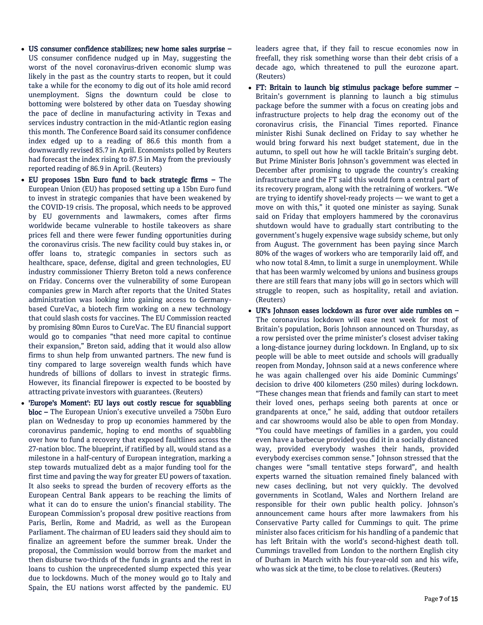- US consumer confidence stabilizes; new home sales surprise US consumer confidence nudged up in May, suggesting the worst of the novel coronavirus-driven economic slump was likely in the past as the country starts to reopen, but it could take a while for the economy to dig out of its hole amid record unemployment. Signs the downturn could be close to bottoming were bolstered by other data on Tuesday showing the pace of decline in manufacturing activity in Texas and services industry contraction in the mid-Atlantic region easing this month. The Conference Board said its consumer confidence index edged up to a reading of 86.6 this month from a downwardly revised 85.7 in April. Economists polled by Reuters had forecast the index rising to 87.5 in May from the previously reported reading of 86.9 in April. (Reuters)
- EU proposes 15bn Euro fund to back strategic firms The European Union (EU) has proposed setting up a 15bn Euro fund to invest in strategic companies that have been weakened by the COVID-19 crisis. The proposal, which needs to be approved by EU governments and lawmakers, comes after firms worldwide became vulnerable to hostile takeovers as share prices fell and there were fewer funding opportunities during the coronavirus crisis. The new facility could buy stakes in, or offer loans to, strategic companies in sectors such as healthcare, space, defense, digital and green technologies, EU industry commissioner Thierry Breton told a news conference on Friday. Concerns over the vulnerability of some European companies grew in March after reports that the United States administration was looking into gaining access to Germanybased CureVac, a biotech firm working on a new technology that could slash costs for vaccines. The EU Commission reacted by promising 80mn Euros to CureVac. The EU financial support would go to companies "that need more capital to continue their expansion," Breton said, adding that it would also allow firms to shun help from unwanted partners. The new fund is tiny compared to large sovereign wealth funds which have hundreds of billions of dollars to invest in strategic firms. However, its financial firepower is expected to be boosted by attracting private investors with guarantees. (Reuters)
- 'Europe's Moment': EU lays out costly rescue for squabbling bloc – The European Union's executive unveiled a 750bn Euro plan on Wednesday to prop up economies hammered by the coronavirus pandemic, hoping to end months of squabbling over how to fund a recovery that exposed faultlines across the 27-nation bloc. The blueprint, if ratified by all, would stand as a milestone in a half-century of European integration, marking a step towards mutualized debt as a major funding tool for the first time and paving the way for greater EU powers of taxation. It also seeks to spread the burden of recovery efforts as the European Central Bank appears to be reaching the limits of what it can do to ensure the union's financial stability. The European Commission's proposal drew positive reactions from Paris, Berlin, Rome and Madrid, as well as the European Parliament. The chairman of EU leaders said they should aim to finalize an agreement before the summer break. Under the proposal, the Commission would borrow from the market and then disburse two-thirds of the funds in grants and the rest in loans to cushion the unprecedented slump expected this year due to lockdowns. Much of the money would go to Italy and Spain, the EU nations worst affected by the pandemic. EU

leaders agree that, if they fail to rescue economies now in freefall, they risk something worse than their debt crisis of a decade ago, which threatened to pull the eurozone apart. (Reuters)

- FT: Britain to launch big stimulus package before summer Britain's government is planning to launch a big stimulus package before the summer with a focus on creating jobs and infrastructure projects to help drag the economy out of the coronavirus crisis, the Financial Times reported. Finance minister Rishi Sunak declined on Friday to say whether he would bring forward his next budget statement, due in the autumn, to spell out how he will tackle Britain's surging debt. But Prime Minister Boris Johnson's government was elected in December after promising to upgrade the country's creaking infrastructure and the FT said this would form a central part of its recovery program, along with the retraining of workers. "We are trying to identify shovel-ready projects — we want to get a move on with this," it quoted one minister as saying. Sunak said on Friday that employers hammered by the coronavirus shutdown would have to gradually start contributing to the government's hugely expensive wage subsidy scheme, but only from August. The government has been paying since March 80% of the wages of workers who are temporarily laid off, and who now total 8.4mn, to limit a surge in unemployment. While that has been warmly welcomed by unions and business groups there are still fears that many jobs will go in sectors which will struggle to reopen, such as hospitality, retail and aviation. (Reuters)
- UK's Johnson eases lockdown as furor over aide rumbles on The coronavirus lockdown will ease next week for most of Britain's population, Boris Johnson announced on Thursday, as a row persisted over the prime minister's closest adviser taking a long-distance journey during lockdown. In England, up to six people will be able to meet outside and schools will gradually reopen from Monday, Johnson said at a news conference where he was again challenged over his aide Dominic Cummings' decision to drive 400 kilometers (250 miles) during lockdown. "These changes mean that friends and family can start to meet their loved ones, perhaps seeing both parents at once or grandparents at once," he said, adding that outdoor retailers and car showrooms would also be able to open from Monday. "You could have meetings of families in a garden, you could even have a barbecue provided you did it in a socially distanced way, provided everybody washes their hands, provided everybody exercises common sense." Johnson stressed that the changes were "small tentative steps forward", and health experts warned the situation remained finely balanced with new cases declining, but not very quickly. The devolved governments in Scotland, Wales and Northern Ireland are responsible for their own public health policy. Johnson's announcement came hours after more lawmakers from his Conservative Party called for Cummings to quit. The prime minister also faces criticism for his handling of a pandemic that has left Britain with the world's second-highest death toll. Cummings travelled from London to the northern English city of Durham in March with his four-year-old son and his wife, who was sick at the time, to be close to relatives. (Reuters)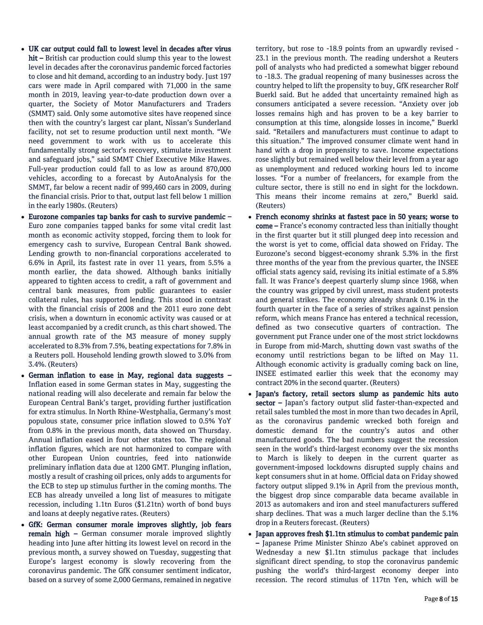- UK car output could fall to lowest level in decades after virus hit – British car production could slump this year to the lowest level in decades after the coronavirus pandemic forced factories to close and hit demand, according to an industry body. Just 197 cars were made in April compared with 71,000 in the same month in 2019, leaving year-to-date production down over a quarter, the Society of Motor Manufacturers and Traders (SMMT) said. Only some automotive sites have reopened since then with the country's largest car plant, Nissan's Sunderland facility, not set to resume production until next month. "We need government to work with us to accelerate this fundamentally strong sector's recovery, stimulate investment and safeguard jobs," said SMMT Chief Executive Mike Hawes. Full-year production could fall to as low as around 870,000 vehicles, according to a forecast by AutoAnalysis for the SMMT, far below a recent nadir of 999,460 cars in 2009, during the financial crisis. Prior to that, output last fell below 1 million in the early 1980s. (Reuters)
- Eurozone companies tap banks for cash to survive pandemic Euro zone companies tapped banks for some vital credit last month as economic activity stopped, forcing them to look for emergency cash to survive, European Central Bank showed. Lending growth to non-financial corporations accelerated to 6.6% in April, its fastest rate in over 11 years, from 5.5% a month earlier, the data showed. Although banks initially appeared to tighten access to credit, a raft of government and central bank measures, from public guarantees to easier collateral rules, has supported lending. This stood in contrast with the financial crisis of 2008 and the 2011 euro zone debt crisis, when a downturn in economic activity was caused or at least accompanied by a credit crunch, as this chart showed. The annual growth rate of the M3 measure of money supply accelerated to 8.3% from 7.5%, beating expectations for 7.8% in a Reuters poll. Household lending growth slowed to 3.0% from 3.4%. (Reuters)
- German inflation to ease in May, regional data suggests Inflation eased in some German states in May, suggesting the national reading will also decelerate and remain far below the European Central Bank's target, providing further justification for extra stimulus. In North Rhine-Westphalia, Germany's most populous state, consumer price inflation slowed to 0.5% YoY from 0.8% in the previous month, data showed on Thursday. Annual inflation eased in four other states too. The regional inflation figures, which are not harmonized to compare with other European Union countries, feed into nationwide preliminary inflation data due at 1200 GMT. Plunging inflation, mostly a result of crashing oil prices, only adds to arguments for the ECB to step up stimulus further in the coming months. The ECB has already unveiled a long list of measures to mitigate recession, including 1.1tn Euros (\$1.21tn) worth of bond buys and loans at deeply negative rates. (Reuters)
- GfK: German consumer morale improves slightly, job fears remain high – German consumer morale improved slightly heading into June after hitting its lowest level on record in the previous month, a survey showed on Tuesday, suggesting that Europe's largest economy is slowly recovering from the coronavirus pandemic. The GfK consumer sentiment indicator, based on a survey of some 2,000 Germans, remained in negative

territory, but rose to -18.9 points from an upwardly revised - 23.1 in the previous month. The reading undershot a Reuters poll of analysts who had predicted a somewhat bigger rebound to -18.3. The gradual reopening of many businesses across the country helped to lift the propensity to buy, GfK researcher Rolf Buerkl said. But he added that uncertainty remained high as consumers anticipated a severe recession. "Anxiety over job losses remains high and has proven to be a key barrier to consumption at this time, alongside losses in income," Buerkl said. "Retailers and manufacturers must continue to adapt to this situation." The improved consumer climate went hand in hand with a drop in propensity to save. Income expectations rose slightly but remained well below their level from a year ago as unemployment and reduced working hours led to income losses. "For a number of freelancers, for example from the culture sector, there is still no end in sight for the lockdown. This means their income remains at zero," Buerkl said. (Reuters)

- French economy shrinks at fastest pace in 50 years; worse to come – France's economy contracted less than initially thought in the first quarter but it still plunged deep into recession and the worst is yet to come, official data showed on Friday. The Eurozone's second biggest-economy shrank 5.3% in the first three months of the year from the previous quarter, the INSEE official stats agency said, revising its initial estimate of a 5.8% fall. It was France's deepest quarterly slump since 1968, when the country was gripped by civil unrest, mass student protests and general strikes. The economy already shrank 0.1% in the fourth quarter in the face of a series of strikes against pension reform, which means France has entered a technical recession, defined as two consecutive quarters of contraction. The government put France under one of the most strict lockdowns in Europe from mid-March, shutting down vast swaths of the economy until restrictions began to be lifted on May 11. Although economic activity is gradually coming back on line, INSEE estimated earlier this week that the economy may contract 20% in the second quarter. (Reuters)
- Japan's factory, retail sectors slump as pandemic hits auto sector - Japan's factory output slid faster-than-expected and retail sales tumbled the most in more than two decades in April, as the coronavirus pandemic wrecked both foreign and domestic demand for the country's autos and other manufactured goods. The bad numbers suggest the recession seen in the world's third-largest economy over the six months to March is likely to deepen in the current quarter as government-imposed lockdowns disrupted supply chains and kept consumers shut in at home. Official data on Friday showed factory output slipped 9.1% in April from the previous month, the biggest drop since comparable data became available in 2013 as automakers and iron and steel manufacturers suffered sharp declines. That was a much larger decline than the 5.1% drop in a Reuters forecast. (Reuters)
- Japan approves fresh \$1.1tn stimulus to combat pandemic pain – Japanese Prime Minister Shinzo Abe's cabinet approved on Wednesday a new \$1.1tn stimulus package that includes significant direct spending, to stop the coronavirus pandemic pushing the world's third-largest economy deeper into recession. The record stimulus of 117tn Yen, which will be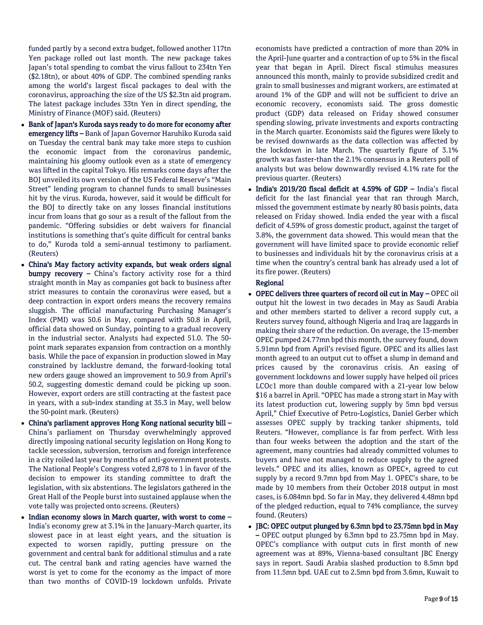funded partly by a second extra budget, followed another 117tn Yen package rolled out last month. The new package takes Japan's total spending to combat the virus fallout to 234tn Yen (\$2.18tn), or about 40% of GDP. The combined spending ranks among the world's largest fiscal packages to deal with the coronavirus, approaching the size of the US \$2.3tn aid program. The latest package includes 33tn Yen in direct spending, the Ministry of Finance (MOF) said. (Reuters)

- Bank of Japan's Kuroda says ready to do more for economy after emergency lifts – Bank of Japan Governor Haruhiko Kuroda said on Tuesday the central bank may take more steps to cushion the economic impact from the coronavirus pandemic, maintaining his gloomy outlook even as a state of emergency was lifted in the capital Tokyo. His remarks come days after the BOJ unveiled its own version of the US Federal Reserve's "Main Street" lending program to channel funds to small businesses hit by the virus. Kuroda, however, said it would be difficult for the BOJ to directly take on any losses financial institutions incur from loans that go sour as a result of the fallout from the pandemic. "Offering subsidies or debt waivers for financial institutions is something that's quite difficult for central banks to do," Kuroda told a semi-annual testimony to parliament. (Reuters)
- China's May factory activity expands, but weak orders signal bumpy recovery – China's factory activity rose for a third straight month in May as companies got back to business after strict measures to contain the coronavirus were eased, but a deep contraction in export orders means the recovery remains sluggish. The official manufacturing Purchasing Manager's Index (PMI) was 50.6 in May, compared with 50.8 in April, official data showed on Sunday, pointing to a gradual recovery in the industrial sector. Analysts had expected 51.0. The 50 point mark separates expansion from contraction on a monthly basis. While the pace of expansion in production slowed in May constrained by lacklustre demand, the forward-looking total new orders gauge showed an improvement to 50.9 from April's 50.2, suggesting domestic demand could be picking up soon. However, export orders are still contracting at the fastest pace in years, with a sub-index standing at 35.3 in May, well below the 50-point mark. (Reuters)
- China's parliament approves Hong Kong national security bill China's parliament on Thursday overwhelmingly approved directly imposing national security legislation on Hong Kong to tackle secession, subversion, terrorism and foreign interference in a city roiled last year by months of anti-government protests. The National People's Congress voted 2,878 to 1 in favor of the decision to empower its standing committee to draft the legislation, with six abstentions. The legislators gathered in the Great Hall of the People burst into sustained applause when the vote tally was projected onto screens. (Reuters)
- Indian economy slows in March quarter, with worst to come -India's economy grew at 3.1% in the January-March quarter, its slowest pace in at least eight years, and the situation is expected to worsen rapidly, putting pressure on the government and central bank for additional stimulus and a rate cut. The central bank and rating agencies have warned the worst is yet to come for the economy as the impact of more than two months of COVID-19 lockdown unfolds. Private

economists have predicted a contraction of more than 20% in the April-June quarter and a contraction of up to 5% in the fiscal year that began in April. Direct fiscal stimulus measures announced this month, mainly to provide subsidized credit and grain to small businesses and migrant workers, are estimated at around 1% of the GDP and will not be sufficient to drive an economic recovery, economists said. The gross domestic product (GDP) data released on Friday showed consumer spending slowing, private investments and exports contracting in the March quarter. Economists said the figures were likely to be revised downwards as the data collection was affected by the lockdown in late March. The quarterly figure of 3.1% growth was faster-than the 2.1% consensus in a Reuters poll of analysts but was below downwardly revised 4.1% rate for the previous quarter. (Reuters)

 India's 2019/20 fiscal deficit at 4.59% of GDP – India's fiscal deficit for the last financial year that ran through March, missed the government estimate by nearly 80 basis points, data released on Friday showed. India ended the year with a fiscal deficit of 4.59% of gross domestic product, against the target of 3.8%, the government data showed. This would mean that the government will have limited space to provide economic relief to businesses and individuals hit by the coronavirus crisis at a time when the country's central bank has already used a lot of its fire power. (Reuters)

### Regional

- OPEC delivers three quarters of record oil cut in May OPEC oil output hit the lowest in two decades in May as Saudi Arabia and other members started to deliver a record supply cut, a Reuters survey found, although Nigeria and Iraq are laggards in making their share of the reduction. On average, the 13-member OPEC pumped 24.77mn bpd this month, the survey found, down 5.91mn bpd from April's revised figure. OPEC and its allies last month agreed to an output cut to offset a slump in demand and prices caused by the coronavirus crisis. An easing of government lockdowns and lower supply have helped oil prices LCOc1 more than double compared with a 21-year low below \$16 a barrel in April. "OPEC has made a strong start in May with its latest production cut, lowering supply by 5mn bpd versus April," Chief Executive of Petro-Logistics, Daniel Gerber which assesses OPEC supply by tracking tanker shipments, told Reuters. "However, compliance is far from perfect. With less than four weeks between the adoption and the start of the agreement, many countries had already committed volumes to buyers and have not managed to reduce supply to the agreed levels." OPEC and its allies, known as OPEC+, agreed to cut supply by a record 9.7mn bpd from May 1. OPEC's share, to be made by 10 members from their October 2018 output in most cases, is 6.084mn bpd. So far in May, they delivered 4.48mn bpd of the pledged reduction, equal to 74% compliance, the survey found. (Reuters)
- JBC: OPEC output plunged by 6.3mn bpd to 23.75mn bpd in May – OPEC output plunged by 6.3mn bpd to 23.75mn bpd in May. OPEC's compliance with output cuts in first month of new agreement was at 89%, Vienna-based consultant JBC Energy says in report. Saudi Arabia slashed production to 8.5mn bpd from 11.5mn bpd. UAE cut to 2.5mn bpd from 3.6mn, Kuwait to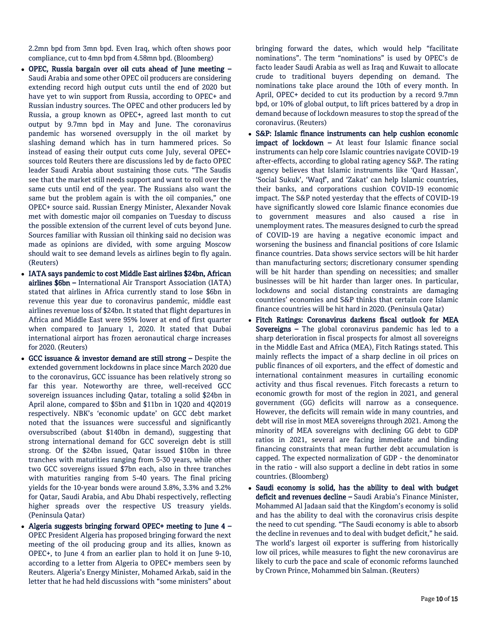2.2mn bpd from 3mn bpd. Even Iraq, which often shows poor compliance, cut to 4mn bpd from 4.58mn bpd. (Bloomberg)

- OPEC, Russia bargain over oil cuts ahead of June meeting Saudi Arabia and some other OPEC oil producers are considering extending record high output cuts until the end of 2020 but have yet to win support from Russia, according to OPEC+ and Russian industry sources. The OPEC and other producers led by Russia, a group known as OPEC+, agreed last month to cut output by 9.7mn bpd in May and June. The coronavirus pandemic has worsened oversupply in the oil market by slashing demand which has in turn hammered prices. So instead of easing their output cuts come July, several OPEC+ sources told Reuters there are discussions led by de facto OPEC leader Saudi Arabia about sustaining those cuts. "The Saudis see that the market still needs support and want to roll over the same cuts until end of the year. The Russians also want the same but the problem again is with the oil companies," one OPEC+ source said. Russian Energy Minister, Alexander Novak met with domestic major oil companies on Tuesday to discuss the possible extension of the current level of cuts beyond June. Sources familiar with Russian oil thinking said no decision was made as opinions are divided, with some arguing Moscow should wait to see demand levels as airlines begin to fly again. (Reuters)
- IATA says pandemic to cost Middle East airlines \$24bn, African airlines \$6bn – International Air Transport Association (IATA) stated that airlines in Africa currently stand to lose \$6bn in revenue this year due to coronavirus pandemic, middle east airlines revenue loss of \$24bn. It stated that flight departures in Africa and Middle East were 95% lower at end of first quarter when compared to January 1, 2020. It stated that Dubai international airport has frozen aeronautical charge increases for 2020. (Reuters)
- GCC issuance & investor demand are still strong Despite the extended government lockdowns in place since March 2020 due to the coronavirus, GCC issuance has been relatively strong so far this year. Noteworthy are three, well-received GCC sovereign issuances including Qatar, totaling a solid \$24bn in April alone, compared to \$5bn and \$11bn in 1Q20 and 4Q2019 respectively. NBK's 'economic update' on GCC debt market noted that the issuances were successful and significantly oversubscribed (about \$140bn in demand), suggesting that strong international demand for GCC sovereign debt is still strong. Of the \$24bn issued, Qatar issued \$10bn in three tranches with maturities ranging from 5-30 years, while other two GCC sovereigns issued \$7bn each, also in three tranches with maturities ranging from 5-40 years. The final pricing yields for the 10-year bonds were around 3.8%, 3.3% and 3.2% for Qatar, Saudi Arabia, and Abu Dhabi respectively, reflecting higher spreads over the respective US treasury yields. (Peninsula Qatar)
- Algeria suggests bringing forward OPEC+ meeting to June  $4 -$ OPEC President Algeria has proposed bringing forward the next meeting of the oil producing group and its allies, known as OPEC+, to June 4 from an earlier plan to hold it on June 9-10, according to a letter from Algeria to OPEC+ members seen by Reuters. Algeria's Energy Minister, Mohamed Arkab, said in the letter that he had held discussions with "some ministers" about

bringing forward the dates, which would help "facilitate nominations". The term "nominations" is used by OPEC's de facto leader Saudi Arabia as well as Iraq and Kuwait to allocate crude to traditional buyers depending on demand. The nominations take place around the 10th of every month. In April, OPEC+ decided to cut its production by a record 9.7mn bpd, or 10% of global output, to lift prices battered by a drop in demand because of lockdown measures to stop the spread of the coronavirus. (Reuters)

- S&P: Islamic finance instruments can help cushion economic impact of lockdown – At least four Islamic finance social instruments can help core Islamic countries navigate COVID-19 after-effects, according to global rating agency S&P. The rating agency believes that Islamic instruments like 'Qard Hassan', 'Social Sukuk', 'Waqf', and 'Zakat' can help Islamic countries, their banks, and corporations cushion COVID-19 economic impact. The S&P noted yesterday that the effects of COVID-19 have significantly slowed core Islamic finance economies due to government measures and also caused a rise in unemployment rates. The measures designed to curb the spread of COVID-19 are having a negative economic impact and worsening the business and financial positions of core Islamic finance countries. Data shows service sectors will be hit harder than manufacturing sectors; discretionary consumer spending will be hit harder than spending on necessities; and smaller businesses will be hit harder than larger ones. In particular, lockdowns and social distancing constraints are damaging countries' economies and S&P thinks that certain core Islamic finance countries will be hit hard in 2020. (Peninsula Qatar)
- Fitch Ratings: Coronavirus darkens fiscal outlook for MEA Sovereigns – The global coronavirus pandemic has led to a sharp deterioration in fiscal prospects for almost all sovereigns in the Middle East and Africa (MEA), Fitch Ratings stated. This mainly reflects the impact of a sharp decline in oil prices on public finances of oil exporters, and the effect of domestic and international containment measures in curtailing economic activity and thus fiscal revenues. Fitch forecasts a return to economic growth for most of the region in 2021, and general government (GG) deficits will narrow as a consequence. However, the deficits will remain wide in many countries, and debt will rise in most MEA sovereigns through 2021. Among the minority of MEA sovereigns with declining GG debt to GDP ratios in 2021, several are facing immediate and binding financing constraints that mean further debt accumulation is capped. The expected normalization of GDP - the denominator in the ratio - will also support a decline in debt ratios in some countries. (Bloomberg)
- Saudi economy is solid, has the ability to deal with budget deficit and revenues decline – Saudi Arabia's Finance Minister, Mohammed Al Jadaan said that the Kingdom's economy is solid and has the ability to deal with the coronavirus crisis despite the need to cut spending. "The Saudi economy is able to absorb the decline in revenues and to deal with budget deficit," he said. The world's largest oil exporter is suffering from historically low oil prices, while measures to fight the new coronavirus are likely to curb the pace and scale of economic reforms launched by Crown Prince, Mohammed bin Salman. (Reuters)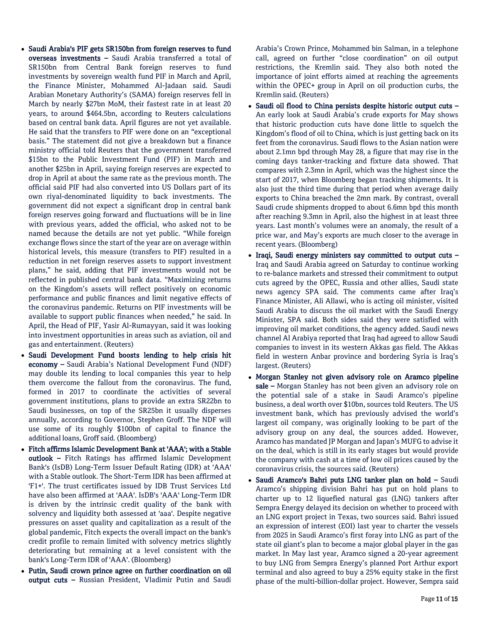- Saudi Arabia's PIF gets SR150bn from foreign reserves to fund overseas investments – Saudi Arabia transferred a total of SR150bn from Central Bank foreign reserves to fund investments by sovereign wealth fund PIF in March and April, the Finance Minister, Mohammed Al-Jadaan said. Saudi Arabian Monetary Authority's (SAMA) foreign reserves fell in March by nearly \$27bn MoM, their fastest rate in at least 20 years, to around \$464.5bn, according to Reuters calculations based on central bank data. April figures are not yet available. He said that the transfers to PIF were done on an "exceptional basis." The statement did not give a breakdown but a finance ministry official told Reuters that the government transferred \$15bn to the Public Investment Fund (PIF) in March and another \$25bn in April, saying foreign reserves are expected to drop in April at about the same rate as the previous month. The official said PIF had also converted into US Dollars part of its own riyal-denominated liquidity to back investments. The government did not expect a significant drop in central bank foreign reserves going forward and fluctuations will be in line with previous years, added the official, who asked not to be named because the details are not yet public. "While foreign exchange flows since the start of the year are on average within historical levels, this measure (transfers to PIF) resulted in a reduction in net foreign reserves assets to support investment plans," he said, adding that PIF investments would not be reflected in published central bank data. "Maximizing returns on the Kingdom's assets will reflect positively on economic performance and public finances and limit negative effects of the coronavirus pandemic. Returns on PIF investments will be available to support public finances when needed," he said. In April, the Head of PIF, Yasir Al-Rumayyan, said it was looking into investment opportunities in areas such as aviation, oil and gas and entertainment. (Reuters)
- Saudi Development Fund boosts lending to help crisis hit economy – Saudi Arabia's National Development Fund (NDF) may double its lending to local companies this year to help them overcome the fallout from the coronavirus. The fund, formed in 2017 to coordinate the activities of several government institutions, plans to provide an extra SR22bn to Saudi businesses, on top of the SR25bn it usually disperses annually, according to Governor, Stephen Groff. The NDF will use some of its roughly \$100bn of capital to finance the additional loans, Groff said. (Bloomberg)
- Fitch affirms Islamic Development Bank at 'AAA'; with a Stable outlook – Fitch Ratings has affirmed Islamic Development Bank's (IsDB) Long-Term Issuer Default Rating (IDR) at 'AAA' with a Stable outlook. The Short-Term IDR has been affirmed at 'F1+'. The trust certificates issued by IDB Trust Services Ltd have also been affirmed at 'AAA'. IsDB's 'AAA' Long-Term IDR is driven by the intrinsic credit quality of the bank with solvency and liquidity both assessed at 'aaa'. Despite negative pressures on asset quality and capitalization as a result of the global pandemic, Fitch expects the overall impact on the bank's credit profile to remain limited with solvency metrics slightly deteriorating but remaining at a level consistent with the bank's Long-Term IDR of 'AAA'. (Bloomberg)
- Putin, Saudi crown prince agree on further coordination on oil output cuts – Russian President, Vladimir Putin and Saudi

Arabia's Crown Prince, Mohammed bin Salman, in a telephone call, agreed on further "close coordination" on oil output restrictions, the Kremlin said. They also both noted the importance of joint efforts aimed at reaching the agreements within the OPEC+ group in April on oil production curbs, the Kremlin said. (Reuters)

- Saudi oil flood to China persists despite historic output cuts An early look at Saudi Arabia's crude exports for May shows that historic production cuts have done little to squelch the Kingdom's flood of oil to China, which is just getting back on its feet from the coronavirus. Saudi flows to the Asian nation were about 2.1mn bpd through May 28, a figure that may rise in the coming days tanker-tracking and fixture data showed. That compares with 2.3mn in April, which was the highest since the start of 2017, when Bloomberg began tracking shipments. It is also just the third time during that period when average daily exports to China breached the 2mn mark. By contrast, overall Saudi crude shipments dropped to about 6.6mn bpd this month after reaching 9.3mn in April, also the highest in at least three years. Last month's volumes were an anomaly, the result of a price war, and May's exports are much closer to the average in recent years. (Bloomberg)
- Iraqi, Saudi energy ministers say committed to output cuts -Iraq and Saudi Arabia agreed on Saturday to continue working to re-balance markets and stressed their commitment to output cuts agreed by the OPEC, Russia and other allies, Saudi state news agency SPA said. The comments came after Iraq's Finance Minister, Ali Allawi, who is acting oil minister, visited Saudi Arabia to discuss the oil market with the Saudi Energy Minister, SPA said. Both sides said they were satisfied with improving oil market conditions, the agency added. Saudi news channel Al Arabiya reported that Iraq had agreed to allow Saudi companies to invest in its western Akkas gas field. The Akkas field in western Anbar province and bordering Syria is Iraq's largest. (Reuters)
- Morgan Stanley not given advisory role on Aramco pipeline sale – Morgan Stanley has not been given an advisory role on the potential sale of a stake in Saudi Aramco's pipeline business, a deal worth over \$10bn, sources told Reuters. The US investment bank, which has previously advised the world's largest oil company, was originally looking to be part of the advisory group on any deal, the sources added. However, Aramco has mandated JP Morgan and Japan's MUFG to advise it on the deal, which is still in its early stages but would provide the company with cash at a time of low oil prices caused by the coronavirus crisis, the sources said. (Reuters)
- Saudi Aramco's Bahri puts LNG tanker plan on hold Saudi Aramco's shipping division Bahri has put on hold plans to charter up to 12 liquefied natural gas (LNG) tankers after Sempra Energy delayed its decision on whether to proceed with an LNG export project in Texas, two sources said. Bahri issued an expression of interest (EOI) last year to charter the vessels from 2025 in Saudi Aramco's first foray into LNG as part of the state oil giant's plan to become a major global player in the gas market. In May last year, Aramco signed a 20-year agreement to buy LNG from Sempra Energy's planned Port Arthur export terminal and also agreed to buy a 25% equity stake in the first phase of the multi-billion-dollar project. However, Sempra said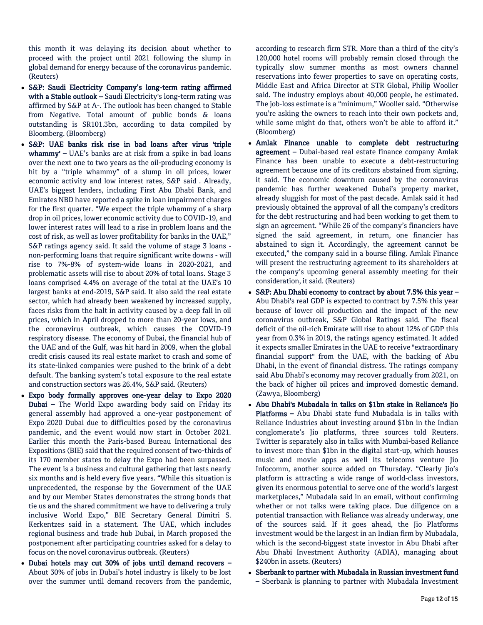this month it was delaying its decision about whether to proceed with the project until 2021 following the slump in global demand for energy because of the coronavirus pandemic. (Reuters)

- S&P: Saudi Electricity Company's long-term rating affirmed with a Stable outlook - Saudi Electricity's long-term rating was affirmed by S&P at A-. The outlook has been changed to Stable from Negative. Total amount of public bonds & loans outstanding is SR101.3bn, according to data compiled by Bloomberg. (Bloomberg)
- S&P: UAE banks risk rise in bad loans after virus 'triple whammy' – UAE's banks are at risk from a spike in bad loans over the next one to two years as the oil-producing economy is hit by a "triple whammy" of a slump in oil prices, lower economic activity and low interest rates, S&P said . Already, UAE's biggest lenders, including First Abu Dhabi Bank, and Emirates NBD have reported a spike in loan impairment charges for the first quarter. "We expect the triple whammy of a sharp drop in oil prices, lower economic activity due to COVID-19, and lower interest rates will lead to a rise in problem loans and the cost of risk, as well as lower profitability for banks in the UAE," S&P ratings agency said. It said the volume of stage 3 loans non-performing loans that require significant write downs - will rise to 7%-8% of system-wide loans in 2020-2021, and problematic assets will rise to about 20% of total loans. Stage 3 loans comprised 4.4% on average of the total at the UAE's 10 largest banks at end-2019, S&P said. It also said the real estate sector, which had already been weakened by increased supply, faces risks from the halt in activity caused by a deep fall in oil prices, which in April dropped to more than 20-year lows, and the coronavirus outbreak, which causes the COVID-19 respiratory disease. The economy of Dubai, the financial hub of the UAE and of the Gulf, was hit hard in 2009, when the global credit crisis caused its real estate market to crash and some of its state-linked companies were pushed to the brink of a debt default. The banking system's total exposure to the real estate and construction sectors was 26.4%, S&P said. (Reuters)
- Expo body formally approves one-year delay to Expo 2020 Dubai – The World Expo awarding body said on Friday its general assembly had approved a one-year postponement of Expo 2020 Dubai due to difficulties posed by the coronavirus pandemic, and the event would now start in October 2021. Earlier this month the Paris-based Bureau International des Expositions (BIE) said that the required consent of two-thirds of its 170 member states to delay the Expo had been surpassed. The event is a business and cultural gathering that lasts nearly six months and is held every five years. "While this situation is unprecedented, the response by the Government of the UAE and by our Member States demonstrates the strong bonds that tie us and the shared commitment we have to delivering a truly inclusive World Expo," BIE Secretary General Dimitri S. Kerkentzes said in a statement. The UAE, which includes regional business and trade hub Dubai, in March proposed the postponement after participating countries asked for a delay to focus on the novel coronavirus outbreak. (Reuters)
- Dubai hotels may cut 30% of jobs until demand recovers About 30% of jobs in Dubai's hotel industry is likely to be lost over the summer until demand recovers from the pandemic,

according to research firm STR. More than a third of the city's 120,000 hotel rooms will probably remain closed through the typically slow summer months as most owners channel reservations into fewer properties to save on operating costs, Middle East and Africa Director at STR Global, Philip Wooller said. The industry employs about 40,000 people, he estimated. The job-loss estimate is a "minimum," Wooller said. "Otherwise you're asking the owners to reach into their own pockets and, while some might do that, others won't be able to afford it." (Bloomberg)

- Amlak Finance unable to complete debt restructuring agreement – Dubai-based real estate finance company Amlak Finance has been unable to execute a debt-restructuring agreement because one of its creditors abstained from signing, it said. The economic downturn caused by the coronavirus pandemic has further weakened Dubai's property market, already sluggish for most of the past decade. Amlak said it had previously obtained the approval of all the company's creditors for the debt restructuring and had been working to get them to sign an agreement. "While 26 of the company's financiers have signed the said agreement, in return, one financier has abstained to sign it. Accordingly, the agreement cannot be executed," the company said in a bourse filing. Amlak Finance will present the restructuring agreement to its shareholders at the company's upcoming general assembly meeting for their consideration, it said. (Reuters)
- S&P: Abu Dhabi economy to contract by about 7.5% this year Abu Dhabi's real GDP is expected to contract by 7.5% this year because of lower oil production and the impact of the new coronavirus outbreak, S&P Global Ratings said. The fiscal deficit of the oil-rich Emirate will rise to about 12% of GDP this year from 0.3% in 2019, the ratings agency estimated. It added it expects smaller Emirates in the UAE to receive "extraordinary financial support" from the UAE, with the backing of Abu Dhabi, in the event of financial distress. The ratings company said Abu Dhabi's economy may recover gradually from 2021, on the back of higher oil prices and improved domestic demand. (Zawya, Bloomberg)
- Abu Dhabi's Mubadala in talks on \$1bn stake in Reliance's Jio Platforms – Abu Dhabi state fund Mubadala is in talks with Reliance Industries about investing around \$1bn in the Indian conglomerate's Jio platforms, three sources told Reuters. Twitter is separately also in talks with Mumbai-based Reliance to invest more than \$1bn in the digital start-up, which houses music and movie apps as well its telecoms venture Jio Infocomm, another source added on Thursday. "Clearly Jio's platform is attracting a wide range of world-class investors, given its enormous potential to serve one of the world's largest marketplaces," Mubadala said in an email, without confirming whether or not talks were taking place. Due diligence on a potential transaction with Reliance was already underway, one of the sources said. If it goes ahead, the Jio Platforms investment would be the largest in an Indian firm by Mubadala, which is the second-biggest state investor in Abu Dhabi after Abu Dhabi Investment Authority (ADIA), managing about \$240bn in assets. (Reuters)
- Sberbank to partner with Mubadala in Russian investment fund – Sberbank is planning to partner with Mubadala Investment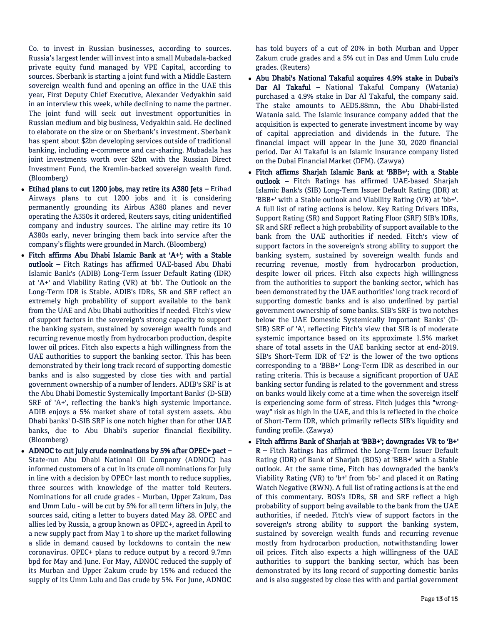Co. to invest in Russian businesses, according to sources. Russia's largest lender will invest into a small Mubadala-backed private equity fund managed by VPE Capital, according to sources. Sberbank is starting a joint fund with a Middle Eastern sovereign wealth fund and opening an office in the UAE this year, First Deputy Chief Executive, Alexander Vedyakhin said in an interview this week, while declining to name the partner. The joint fund will seek out investment opportunities in Russian medium and big business, Vedyakhin said. He declined to elaborate on the size or on Sberbank's investment. Sberbank has spent about \$2bn developing services outside of traditional banking, including e-commerce and car-sharing. Mubadala has joint investments worth over \$2bn with the Russian Direct Investment Fund, the Kremlin-backed sovereign wealth fund. (Bloomberg)

- Etihad plans to cut 1200 jobs, may retire its A380 Jets Etihad Airways plans to cut 1200 jobs and it is considering permanently grounding its Airbus A380 planes and never operating the A350s it ordered, Reuters says, citing unidentified company and industry sources. The airline may retire its 10 A380s early, never bringing them back into service after the company's flights were grounded in March. (Bloomberg)
- Fitch affirms Abu Dhabi Islamic Bank at 'A+'; with a Stable outlook – Fitch Ratings has affirmed UAE-based Abu Dhabi Islamic Bank's (ADIB) Long-Term Issuer Default Rating (IDR) at 'A+' and Viability Rating (VR) at 'bb'. The Outlook on the Long-Term IDR is Stable. ADIB's IDRs, SR and SRF reflect an extremely high probability of support available to the bank from the UAE and Abu Dhabi authorities if needed. Fitch's view of support factors in the sovereign's strong capacity to support the banking system, sustained by sovereign wealth funds and recurring revenue mostly from hydrocarbon production, despite lower oil prices. Fitch also expects a high willingness from the UAE authorities to support the banking sector. This has been demonstrated by their long track record of supporting domestic banks and is also suggested by close ties with and partial government ownership of a number of lenders. ADIB's SRF is at the Abu Dhabi Domestic Systemically Important Banks' (D-SIB) SRF of 'A+', reflecting the bank's high systemic importance. ADIB enjoys a 5% market share of total system assets. Abu Dhabi banks' D-SIB SRF is one notch higher than for other UAE banks, due to Abu Dhabi's superior financial flexibility. (Bloomberg)
- ADNOC to cut July crude nominations by 5% after OPEC+ pact State-run Abu Dhabi National Oil Company (ADNOC) has informed customers of a cut in its crude oil nominations for July in line with a decision by OPEC+ last month to reduce supplies, three sources with knowledge of the matter told Reuters. Nominations for all crude grades - Murban, Upper Zakum, Das and Umm Lulu - will be cut by 5% for all term lifters in July, the sources said, citing a letter to buyers dated May 28. OPEC and allies led by Russia, a group known as OPEC+, agreed in April to a new supply pact from May 1 to shore up the market following a slide in demand caused by lockdowns to contain the new coronavirus. OPEC+ plans to reduce output by a record 9.7mn bpd for May and June. For May, ADNOC reduced the supply of its Murban and Upper Zakum crude by 15% and reduced the supply of its Umm Lulu and Das crude by 5%. For June, ADNOC

has told buyers of a cut of 20% in both Murban and Upper Zakum crude grades and a 5% cut in Das and Umm Lulu crude grades. (Reuters)

- Abu Dhabi's National Takaful acquires 4.9% stake in Dubai's Dar Al Takaful - National Takaful Company (Watania) purchased a 4.9% stake in Dar Al Takaful, the company said. The stake amounts to AED5.88mn, the Abu Dhabi-listed Watania said. The Islamic insurance company added that the acquisition is expected to generate investment income by way of capital appreciation and dividends in the future. The financial impact will appear in the June 30, 2020 financial period. Dar Al Takaful is an Islamic insurance company listed on the Dubai Financial Market (DFM). (Zawya)
- Fitch affirms Sharjah Islamic Bank at 'BBB+'; with a Stable outlook – Fitch Ratings has affirmed UAE-based Sharjah Islamic Bank's (SIB) Long-Term Issuer Default Rating (IDR) at 'BBB+' with a Stable outlook and Viability Rating (VR) at 'bb+'. A full list of rating actions is below. Key Rating Drivers IDRs, Support Rating (SR) and Support Rating Floor (SRF) SIB's IDRs, SR and SRF reflect a high probability of support available to the bank from the UAE authorities if needed. Fitch's view of support factors in the sovereign's strong ability to support the banking system, sustained by sovereign wealth funds and recurring revenue, mostly from hydrocarbon production, despite lower oil prices. Fitch also expects high willingness from the authorities to support the banking sector, which has been demonstrated by the UAE authorities' long track record of supporting domestic banks and is also underlined by partial government ownership of some banks. SIB's SRF is two notches below the UAE Domestic Systemically Important Banks' (D-SIB) SRF of 'A', reflecting Fitch's view that SIB is of moderate systemic importance based on its approximate 1.5% market share of total assets in the UAE banking sector at end-2019. SIB's Short-Term IDR of 'F2' is the lower of the two options corresponding to a 'BBB+' Long-Term IDR as described in our rating criteria. This is because a significant proportion of UAE banking sector funding is related to the government and stress on banks would likely come at a time when the sovereign itself is experiencing some form of stress. Fitch judges this "wrongway" risk as high in the UAE, and this is reflected in the choice of Short-Term IDR, which primarily reflects SIB's liquidity and funding profile. (Zawya)
- Fitch affirms Bank of Sharjah at 'BBB+'; downgrades VR to 'B+' R – Fitch Ratings has affirmed the Long-Term Issuer Default Rating (IDR) of Bank of Sharjah (BOS) at 'BBB+' with a Stable outlook. At the same time, Fitch has downgraded the bank's Viability Rating (VR) to 'b+' from 'bb-' and placed it on Rating Watch Negative (RWN). A full list of rating actions is at the end of this commentary. BOS's IDRs, SR and SRF reflect a high probability of support being available to the bank from the UAE authorities, if needed. Fitch's view of support factors in the sovereign's strong ability to support the banking system, sustained by sovereign wealth funds and recurring revenue mostly from hydrocarbon production, notwithstanding lower oil prices. Fitch also expects a high willingness of the UAE authorities to support the banking sector, which has been demonstrated by its long record of supporting domestic banks and is also suggested by close ties with and partial government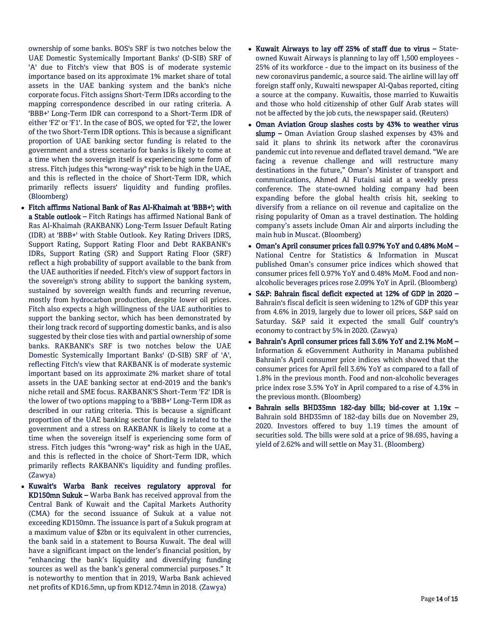ownership of some banks. BOS's SRF is two notches below the UAE Domestic Systemically Important Banks' (D-SIB) SRF of 'A' due to Fitch's view that BOS is of moderate systemic importance based on its approximate 1% market share of total assets in the UAE banking system and the bank's niche corporate focus. Fitch assigns Short-Term IDRs according to the mapping correspondence described in our rating criteria. A 'BBB+' Long-Term IDR can correspond to a Short-Term IDR of either 'F2' or 'F1'. In the case of BOS, we opted for 'F2', the lower of the two Short-Term IDR options. This is because a significant proportion of UAE banking sector funding is related to the government and a stress scenario for banks is likely to come at a time when the sovereign itself is experiencing some form of stress. Fitch judges this "wrong-way" risk to be high in the UAE, and this is reflected in the choice of Short-Term IDR, which primarily reflects issuers' liquidity and funding profiles. (Bloomberg)

- Fitch affirms National Bank of Ras Al-Khaimah at 'BBB+'; with a Stable outlook – Fitch Ratings has affirmed National Bank of Ras Al-Khaimah (RAKBANK) Long-Term Issuer Default Rating (IDR) at 'BBB+' with Stable Outlook. Key Rating Drivers IDRS, Support Rating, Support Rating Floor and Debt RAKBANK's IDRs, Support Rating (SR) and Support Rating Floor (SRF) reflect a high probability of support available to the bank from the UAE authorities if needed. Fitch's view of support factors in the sovereign's strong ability to support the banking system, sustained by sovereign wealth funds and recurring revenue, mostly from hydrocarbon production, despite lower oil prices. Fitch also expects a high willingness of the UAE authorities to support the banking sector, which has been demonstrated by their long track record of supporting domestic banks, and is also suggested by their close ties with and partial ownership of some banks. RAKBANK's SRF is two notches below the UAE Domestic Systemically Important Banks' (D-SIB) SRF of 'A', reflecting Fitch's view that RAKBANK is of moderate systemic important based on its approximate 2% market share of total assets in the UAE banking sector at end-2019 and the bank's niche retail and SME focus. RAKBANK'S Short-Term 'F2' IDR is the lower of two options mapping to a 'BBB+' Long-Term IDR as described in our rating criteria. This is because a significant proportion of the UAE banking sector funding is related to the government and a stress on RAKBANK is likely to come at a time when the sovereign itself is experiencing some form of stress. Fitch judges this "wrong-way" risk as high in the UAE, and this is reflected in the choice of Short-Term IDR, which primarily reflects RAKBANK's liquidity and funding profiles. (Zawya)
- Kuwait's Warba Bank receives regulatory approval for KD150mn Sukuk – Warba Bank has received approval from the Central Bank of Kuwait and the Capital Markets Authority (CMA) for the second issuance of Sukuk at a value not exceeding KD150mn. The issuance is part of a Sukuk program at a maximum value of \$2bn or its equivalent in other currencies, the bank said in a statement to Boursa Kuwait. The deal will have a significant impact on the lender's financial position, by "enhancing the bank's liquidity and diversifying funding sources as well as the bank's general commercial purposes." It is noteworthy to mention that in 2019, Warba Bank achieved net profits of KD16.5mn, up from KD12.74mn in 2018. (Zawya)
- Kuwait Airways to lay off 25% of staff due to virus Stateowned Kuwait Airways is planning to lay off 1,500 employees - 25% of its workforce - due to the impact on its business of the new coronavirus pandemic, a source said. The airline will lay off foreign staff only, Kuwaiti newspaper Al-Qabas reported, citing a source at the company. Kuwaitis, those married to Kuwaitis and those who hold citizenship of other Gulf Arab states will not be affected by the job cuts, the newspaper said. (Reuters)
- Oman Aviation Group slashes costs by 43% to weather virus slump – Oman Aviation Group slashed expenses by 43% and said it plans to shrink its network after the coronavirus pandemic cut into revenue and deflated travel demand. "We are facing a revenue challenge and will restructure many destinations in the future," Oman's Minister of transport and communications, Ahmed Al Futaisi said at a weekly press conference. The state-owned holding company had been expanding before the global health crisis hit, seeking to diversify from a reliance on oil revenue and capitalize on the rising popularity of Oman as a travel destination. The holding company's assets include Oman Air and airports including the main hub in Muscat. (Bloomberg)
- Oman's April consumer prices fall 0.97% YoY and 0.48% MoM National Centre for Statistics & Information in Muscat published Oman's consumer price indices which showed that consumer prices fell 0.97% YoY and 0.48% MoM. Food and nonalcoholic beverages prices rose 2.09% YoY in April. (Bloomberg)
- S&P: Bahrain fiscal deficit expected at 12% of GDP in 2020 Bahrain's fiscal deficit is seen widening to 12% of GDP this year from 4.6% in 2019, largely due to lower oil prices, S&P said on Saturday. S&P said it expected the small Gulf country's economy to contract by 5% in 2020. (Zawya)
- Bahrain's April consumer prices fall 3.6% YoY and 2.1% MoM Information & eGovernment Authority in Manama published Bahrain's April consumer price indices which showed that the consumer prices for April fell 3.6% YoY as compared to a fall of 1.8% in the previous month. Food and non-alcoholic beverages price index rose 3.5% YoY in April compared to a rise of 4.3% in the previous month. (Bloomberg)
- Bahrain sells BHD35mn 182-day bills; bid-cover at 1.19x Bahrain sold BHD35mn of 182-day bills due on November 29, 2020. Investors offered to buy 1.19 times the amount of securities sold. The bills were sold at a price of 98.695, having a yield of 2.62% and will settle on May 31. (Bloomberg)